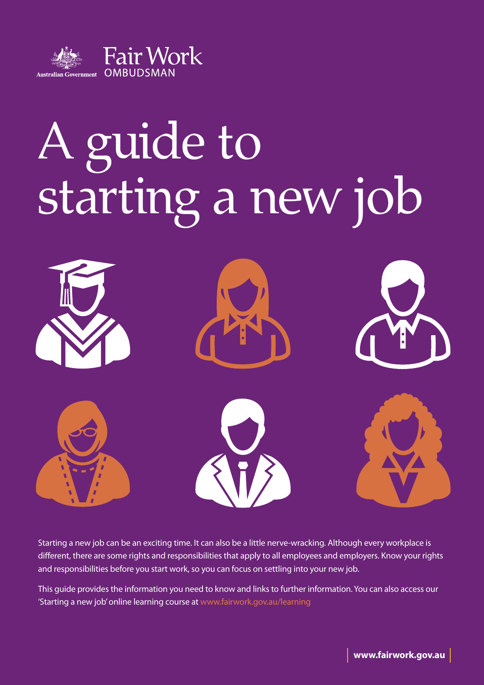

# A guide to starting a new job



Starting a new job can be an exciting time. It can also be a little nerve-wracking. Although every workplace is different, there are some rights and responsibilities that apply to all employees and employers. Know your rights and responsibilities before you start work, so you can focus on settling into your new job.

This guide provides the information you need to know and links to further information. You can also access our 'Starting a new job' online learning course at www.fairwork.gov.au/learning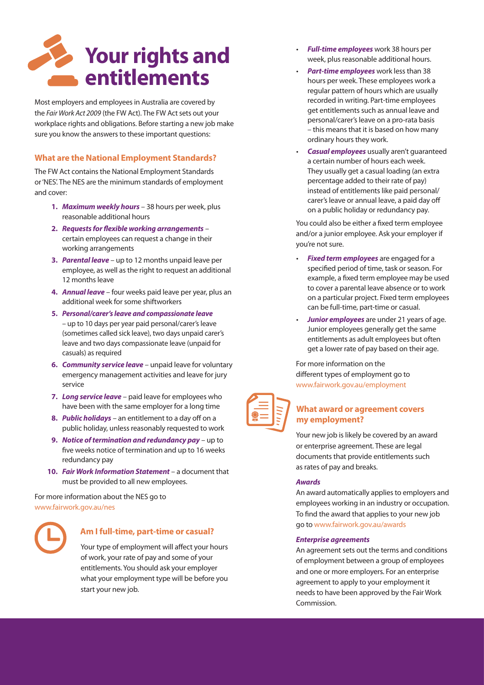

Most employers and employees in Australia are covered by the *Fair Work Act 2009* (the FW Act). The FW Act sets out your workplace rights and obligations. Before starting a new job make sure you know the answers to these important questions:

#### **What are the National Employment Standards?**

The FW Act contains the National Employment Standards or 'NES'. The NES are the minimum standards of employment and cover:

- **1.** *Maximum weekly hours* 38 hours per week, plus reasonable additional hours
- **2.** *Requests for flexible working arrangements* certain employees can request a change in their working arrangements
- **3.** *Parental leave* up to 12 months unpaid leave per employee, as well as the right to request an additional 12 months leave
- **4.** *Annual leave* four weeks paid leave per year, plus an additional week for some shiftworkers
- **5.** *Personal/carer's leave and compassionate leave* – up to 10 days per year paid personal/carer's leave (sometimes called sick leave), two days unpaid carer's leave and two days compassionate leave (unpaid for casuals) as required
- **6.** *Community service leave* unpaid leave for voluntary emergency management activities and leave for jury service
- **7.** *Long service leave* paid leave for employees who have been with the same employer for a long time
- **8.** *Public holidays* an entitlement to a day off on a public holiday, unless reasonably requested to work
- **9.** *Notice of termination and redundancy pay* up to five weeks notice of termination and up to 16 weeks redundancy pay
- **10.** *Fair Work Information Statement* a document that must be provided to all new employees.

For more information about the NES go to www.fairwork.gov.au/nes



#### **Am I full-time, part-time or casual?**

Your type of employment will affect your hours of work, your rate of pay and some of your entitlements. You should ask your employer what your employment type will be before you start your new job.

- **Full-time employees** work 38 hours per week, plus reasonable additional hours.
- **Part-time employees** work less than 38 hours per week. These employees work a regular pattern of hours which are usually recorded in writing. Part-time employees get entitlements such as annual leave and personal/carer's leave on a pro-rata basis – this means that it is based on how many ordinary hours they work.
- **Casual employees** usually aren't guaranteed a certain number of hours each week. They usually get a casual loading (an extra percentage added to their rate of pay) instead of entitlements like paid personal/ carer's leave or annual leave, a paid day off on a public holiday or redundancy pay.

You could also be either a fixed term employee and/or a junior employee. Ask your employer if you're not sure.

- **Fixed term employees** are engaged for a specified period of time, task or season. For example, a fixed term employee may be used to cover a parental leave absence or to work on a particular project. Fixed term employees can be full-time, part-time or casual.
- **Junior employees** are under 21 years of age. Junior employees generally get the same entitlements as adult employees but often get a lower rate of pay based on their age.

For more information on the different types of employment go to www.fairwork.gov.au/employment



#### **What award or agreement covers my employment?**

Your new job is likely be covered by an award or enterprise agreement. These are legal documents that provide entitlements such as rates of pay and breaks.

#### *Awards*

An award automatically applies to employers and employees working in an industry or occupation. To find the award that applies to your new job go to www.fairwork.gov.au/awards

#### *Enterprise agreements*

An agreement sets out the terms and conditions of employment between a group of employees and one or more employers. For an enterprise agreement to apply to your employment it needs to have been approved by the Fair Work Commission.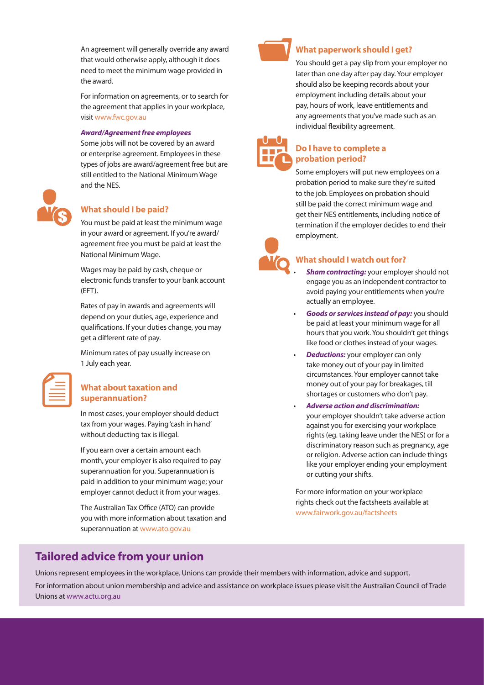An agreement will generally override any award that would otherwise apply, although it does need to meet the minimum wage provided in the award.

For information on agreements, or to search for the agreement that applies in your workplace, visit www.fwc.gov.au

#### *Award/Agreement free employees*

Some jobs will not be covered by an award or enterprise agreement. Employees in these types of jobs are award/agreement free but are still entitled to the National Minimum Wage and the NES.



#### **What should I be paid?**

You must be paid at least the minimum wage in your award or agreement. If you're award/ agreement free you must be paid at least the National Minimum Wage.

Wages may be paid by cash, cheque or electronic funds transfer to your bank account (EFT).

Rates of pay in awards and agreements will depend on your duties, age, experience and qualifications. If your duties change, you may get a different rate of pay.

Minimum rates of pay usually increase on 1 July each year.

| _______ |  |
|---------|--|
|         |  |

#### **What about taxation and superannuation?**

In most cases, your employer should deduct tax from your wages. Paying 'cash in hand' without deducting tax is illegal.

If you earn over a certain amount each month, your employer is also required to pay superannuation for you. Superannuation is paid in addition to your minimum wage; your employer cannot deduct it from your wages.

The Australian Tax Office (ATO) can provide you with more information about taxation and superannuation at www.ato.gov.au



#### **What paperwork should I get?**

You should get a pay slip from your employer no later than one day after pay day. Your employer should also be keeping records about your employment including details about your pay, hours of work, leave entitlements and any agreements that you've made such as an individual flexibility agreement.



#### **Do I have to complete a probation period?**

Some employers will put new employees on a probation period to make sure they're suited to the job. Employees on probation should still be paid the correct minimum wage and get their NES entitlements, including notice of termination if the employer decides to end their employment.



#### **What should I watch out for?**

- **Sham contracting:** your employer should not engage you as an independent contractor to avoid paying your entitlements when you're actually an employee.
- **Goods or services instead of pay:** you should be paid at least your minimum wage for all hours that you work. You shouldn't get things like food or clothes instead of your wages.
- *Deductions:* your employer can only take money out of your pay in limited circumstances. Your employer cannot take money out of your pay for breakages, till shortages or customers who don't pay.
- • *Adverse action and discrimination:* your employer shouldn't take adverse action against you for exercising your workplace rights (eg. taking leave under the NES) or for a discriminatory reason such as pregnancy, age or religion. Adverse action can include things like your employer ending your employment or cutting your shifts.

For more information on your workplace rights check out the factsheets available at www.fairwork.gov.au/factsheets

#### **Tailored advice from your union**

Unions represent employees in the workplace. Unions can provide their members with information, advice and support. For information about union membership and advice and assistance on workplace issues please visit the Australian Council of Trade Unions at www.actu.org.au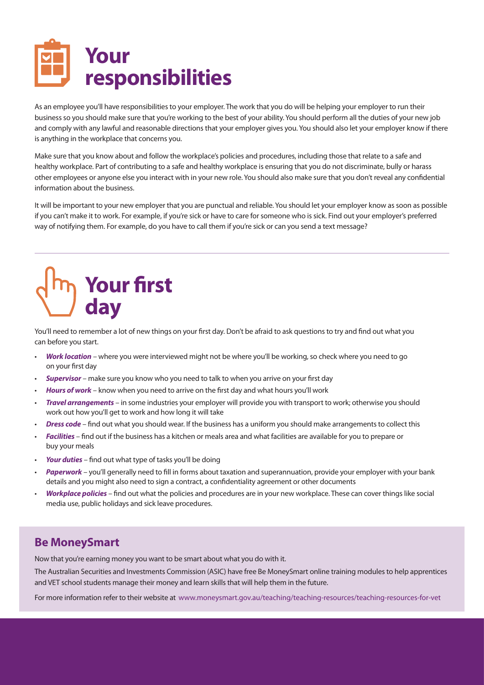

As an employee you'll have responsibilities to your employer. The work that you do will be helping your employer to run their business so you should make sure that you're working to the best of your ability. You should perform all the duties of your new job and comply with any lawful and reasonable directions that your employer gives you. You should also let your employer know if there is anything in the workplace that concerns you.

Make sure that you know about and follow the workplace's policies and procedures, including those that relate to a safe and healthy workplace. Part of contributing to a safe and healthy workplace is ensuring that you do not discriminate, bully or harass other employees or anyone else you interact with in your new role. You should also make sure that you don't reveal any confidential information about the business.

It will be important to your new employer that you are punctual and reliable. You should let your employer know as soon as possible if you can't make it to work. For example, if you're sick or have to care for someone who is sick. Find out your employer's preferred way of notifying them. For example, do you have to call them if you're sick or can you send a text message?

# **Your first day**

You'll need to remember a lot of new things on your first day. Don't be afraid to ask questions to try and find out what you can before you start.

- **Work location** where you were interviewed might not be where you'll be working, so check where you need to go on your first day
- **Supervisor** make sure you know who you need to talk to when you arrive on your first day
- **Hours of work** know when you need to arrive on the first day and what hours you'll work
- **Travel arrangements** in some industries your employer will provide you with transport to work; otherwise you should work out how you'll get to work and how long it will take
- **Dress code** find out what you should wear. If the business has a uniform you should make arrangements to collect this
- Facilities find out if the business has a kitchen or meals area and what facilities are available for you to prepare or buy your meals
- Your duties find out what type of tasks you'll be doing
- Paperwork you'll generally need to fill in forms about taxation and superannuation, provide your employer with your bank details and you might also need to sign a contract, a confidentiality agreement or other documents
- Workplace policies find out what the policies and procedures are in your new workplace. These can cover things like social media use, public holidays and sick leave procedures.

#### **Be MoneySmart**

Now that you're earning money you want to be smart about what you do with it.

The Australian Securities and Investments Commission (ASIC) have free Be MoneySmart online training modules to help apprentices and VET school students manage their money and learn skills that will help them in the future.

For more information refer to their website atwww.moneysmart.gov.au/teaching/teaching-resources/teaching-resources-for-vet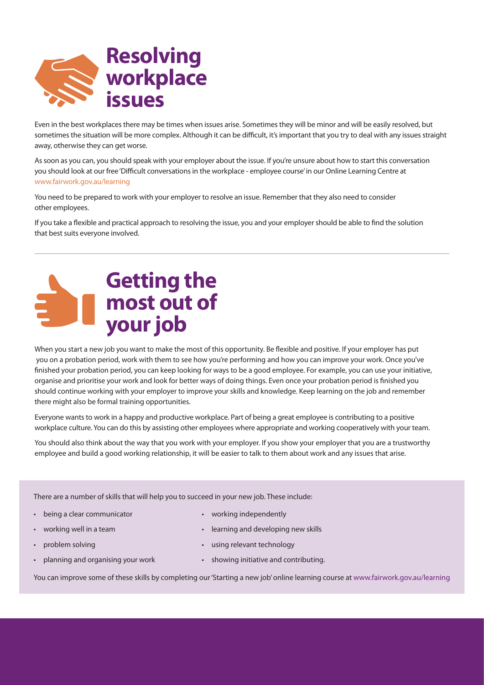

Even in the best workplaces there may be times when issues arise. Sometimes they will be minor and will be easily resolved, but sometimes the situation will be more complex. Although it can be difficult, it's important that you try to deal with any issues straight away, otherwise they can get worse.

As soon as you can, you should speak with your employer about the issue. If you're unsure about how to start this conversation you should look at our free 'Difficult conversations in the workplace - employee course' in our Online Learning Centre at www.fairwork.gov.au/learning

You need to be prepared to work with your employer to resolve an issue. Remember that they also need to consider other employees.

If you take a flexible and practical approach to resolving the issue, you and your employer should be able to find the solution that best suits everyone involved.



When you start a new job you want to make the most of this opportunity. Be flexible and positive. If your employer has put you on a probation period, work with them to see how you're performing and how you can improve your work. Once you've finished your probation period, you can keep looking for ways to be a good employee. For example, you can use your initiative, organise and prioritise your work and look for better ways of doing things. Even once your probation period is finished you should continue working with your employer to improve your skills and knowledge. Keep learning on the job and remember there might also be formal training opportunities.

Everyone wants to work in a happy and productive workplace. Part of being a great employee is contributing to a positive workplace culture. You can do this by assisting other employees where appropriate and working cooperatively with your team.

You should also think about the way that you work with your employer. If you show your employer that you are a trustworthy employee and build a good working relationship, it will be easier to talk to them about work and any issues that arise.

There are a number of skills that will help you to succeed in your new job. These include:

- • being a clear communicator
- working well in a team
- problem solving
- planning and organising your work
- • working independently
- • learning and developing new skills
- • using relevant technology
- • showing initiative and contributing.

You can improve some of these skills by completing our 'Starting a new job' online learning course at www.fairwork.gov.au/learning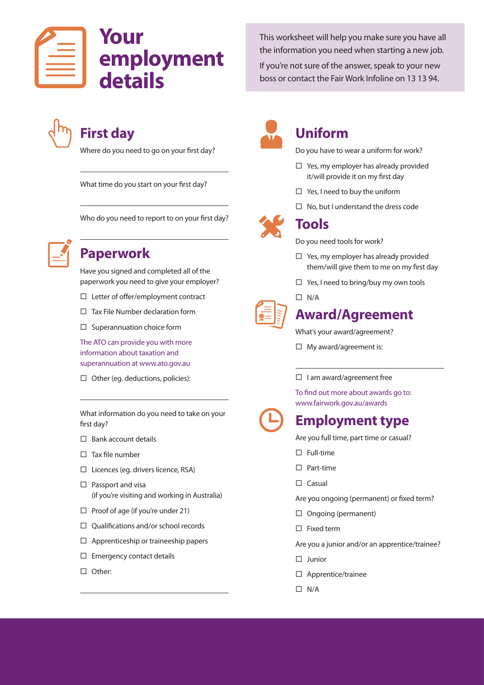This worksheet will help you make sure you have all the information you need when starting a new job.

If you're not sure of the answer, speak to your new boss or contact the Fair Work Infoline on 13 13 94.

# **First day**

Where do you need to go on your first day?

What time do you start on your first day?

Who do you need to report to on your first day?



# **Paperwork**

Have you signed and completed all of the paperwork you need to give your employer?

- $\square$  Letter of offer/employment contract
- $\Box$  Tax File Number declaration form
- $\square$  Superannuation choice form

The ATO can provide you with more information about taxation and superannuation at www.ato.gov.au

 $\Box$  Other (eg. deductions, policies):

What information do you need to take on your first day?

- $\square$  Bank account details
- $\square$  Tax file number
- $\square$  Licences (eg. drivers licence, RSA)
- $\square$  Passport and visa (if you're visiting and working in Australia)
- $\Box$  Proof of age (if you're under 21)
- $\Box$  Qualifications and/or school records
- $\square$  Apprenticeship or traineeship papers
- $\square$  Emergency contact details
- □ Other:



## **Uniform**

Do you have to wear a uniform for work?

- $\Box$  Yes, my employer has already provided it/will provide it on my first day
- $\Box$  Yes, I need to buy the uniform
- $\Box$  No, but I understand the dress code



# **Tools**

Do you need tools for work?

- $\square$  Yes, my employer has already provided them/will give them to me on my first day
- $\Box$  Yes, I need to bring/buy my own tools
- $\square$  N/A

# **Award/Agreement**

What's your award/agreement?

 $\Box$  My award/agreement is:

#### $\square$  I am award/agreement free

To find out more about awards go to: www.fairwork.gov.au/awards

# **Employment type**

Are you full time, part time or casual?

- $\Box$  Full-time
- $\square$  Part-time
- $\square$  Casual
- Are you ongoing (permanent) or fixed term?
- $\Box$  Ongoing (permanent)
- $\Box$  Fixed term
- Are you a junior and/or an apprentice/trainee?
- $\square$  Junior
- $\square$  Apprentice/trainee
- $\square$  N/A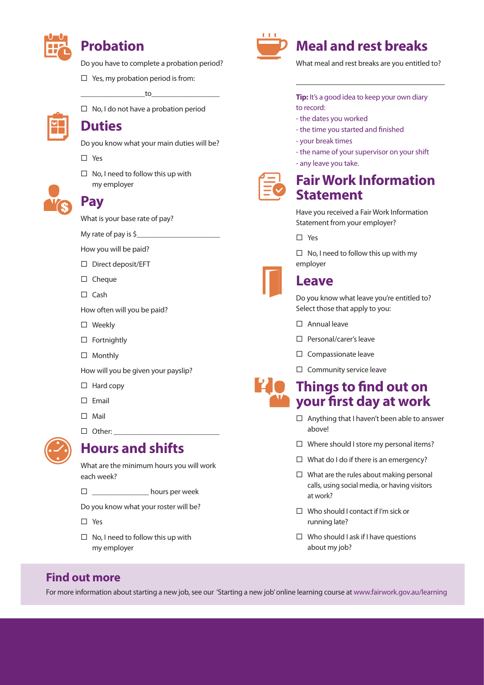

# **Probation**

Do you have to complete a probation period?

 $\Box$  Yes, my probation period is from:

\_\_\_\_\_\_\_\_\_\_\_\_\_\_\_\_\_to\_\_\_\_\_\_\_\_\_\_\_\_\_\_\_\_\_\_

 $\square$  No, I do not have a probation period



### **Duties**

Do you know what your main duties will be?

- ¨ Yes
- $\square$  No, I need to follow this up with my employer



# **Pay**

What is your base rate of pay?

My rate of pay is  $\zeta$ 

How you will be paid?

- $\square$  Direct deposit/EFT
- $\square$  Cheque
- $\square$  Cash

How often will you be paid?

- □ Weekly
- $\square$  Fortnightly
- □ Monthly

How will you be given your payslip?

- $\square$  Hard copy
- $\square$  Email
- $\Box$  Mail
- $\square$  Other:



#### **Hours and shifts**

What are the minimum hours you will work each week?

□ \_\_\_\_\_\_\_\_\_\_\_\_\_\_\_ hours per week

Do you know what your roster will be?

- □ Yes
- $\square$  No, I need to follow this up with my employer



# **Meal and rest breaks**

What meal and rest breaks are you entitled to?

**Tip:** It's a good idea to keep your own diary to record:

- the dates you worked
- the time you started and finished
- your break times
- the name of your supervisor on your shift
- any leave you take.



# **Fair Work Information Statement**

Have you received a Fair Work Information Statement from your employer?

 $\Pi$  Yes

 $\Box$  No, I need to follow this up with my employer

# **Leave**

Do you know what leave you're entitled to? Select those that apply to you:

- $\square$  Annual leave
- $\square$  Personal/carer's leave
- $\square$  Compassionate leave
- $\square$  Community service leave

# **Things to find out on your first day at work**

- $\square$  Anything that I haven't been able to answer above!
- $\square$  Where should I store my personal items?
- $\Box$  What do I do if there is an emergency?
- $\square$  What are the rules about making personal calls, using social media, or having visitors at work?
- $\Box$  Who should I contact if I'm sick or running late?
- $\square$  Who should I ask if I have questions about my job?

#### **Find out more**

For more information about starting a new job, see our 'Starting a new job' online learning course at www.fairwork.gov.au/learning